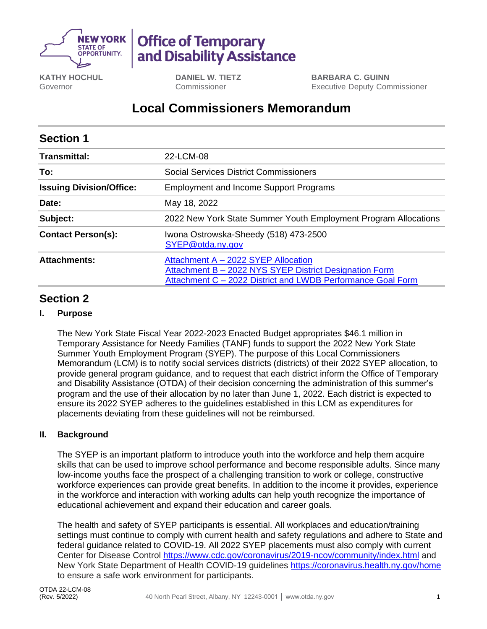

# **Office of Temporary** and Disability Assistance

**KATHY HOCHUL** Governor

**DANIEL W. TIETZ** Commissioner

**BARBARA C. GUINN** Executive Deputy Commissioner

## **Local Commissioners Memorandum**

| <b>Section 1</b>                |                                                                                                                                                              |
|---------------------------------|--------------------------------------------------------------------------------------------------------------------------------------------------------------|
| <b>Transmittal:</b>             | 22-LCM-08                                                                                                                                                    |
| To:                             | Social Services District Commissioners                                                                                                                       |
| <b>Issuing Division/Office:</b> | <b>Employment and Income Support Programs</b>                                                                                                                |
| Date:                           | May 18, 2022                                                                                                                                                 |
| Subject:                        | 2022 New York State Summer Youth Employment Program Allocations                                                                                              |
| <b>Contact Person(s):</b>       | Iwona Ostrowska-Sheedy (518) 473-2500<br>SYEP@otda.ny.gov                                                                                                    |
| <b>Attachments:</b>             | Attachment A - 2022 SYEP Allocation<br>Attachment B - 2022 NYS SYEP District Designation Form<br>Attachment C - 2022 District and LWDB Performance Goal Form |

### **Section 2**

#### **I. Purpose**

The New York State Fiscal Year 2022-2023 Enacted Budget appropriates \$46.1 million in Temporary Assistance for Needy Families (TANF) funds to support the 2022 New York State Summer Youth Employment Program (SYEP). The purpose of this Local Commissioners Memorandum (LCM) is to notify social services districts (districts) of their 2022 SYEP allocation, to provide general program guidance, and to request that each district inform the Office of Temporary and Disability Assistance (OTDA) of their decision concerning the administration of this summer's program and the use of their allocation by no later than June 1, 2022. Each district is expected to ensure its 2022 SYEP adheres to the guidelines established in this LCM as expenditures for placements deviating from these guidelines will not be reimbursed.

#### **II. Background**

The SYEP is an important platform to introduce youth into the workforce and help them acquire skills that can be used to improve school performance and become responsible adults. Since many low-income youths face the prospect of a challenging transition to work or college, constructive workforce experiences can provide great benefits. In addition to the income it provides, experience in the workforce and interaction with working adults can help youth recognize the importance of educational achievement and expand their education and career goals.

The health and safety of SYEP participants is essential. All workplaces and education/training settings must continue to comply with current health and safety regulations and adhere to State and federal guidance related to COVID-19. All 2022 SYEP placements must also comply with current Center for Disease Control<https://www.cdc.gov/coronavirus/2019-ncov/community/index.html> and New York State Department of Health COVID-19 guidelines<https://coronavirus.health.ny.gov/home> to ensure a safe work environment for participants.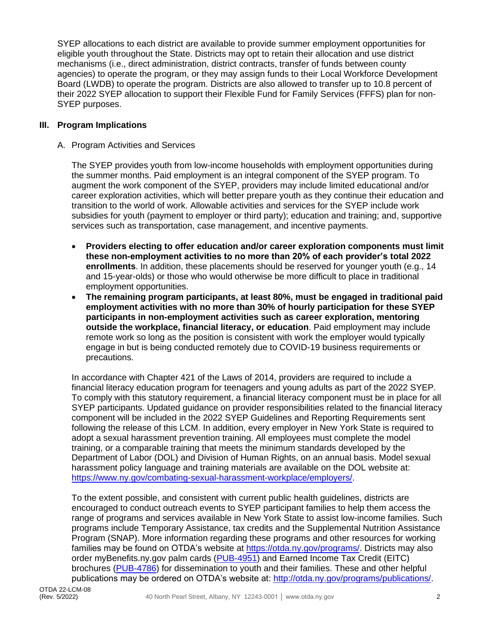SYEP allocations to each district are available to provide summer employment opportunities for eligible youth throughout the State. Districts may opt to retain their allocation and use district mechanisms (i.e., direct administration, district contracts, transfer of funds between county agencies) to operate the program, or they may assign funds to their Local Workforce Development Board (LWDB) to operate the program. Districts are also allowed to transfer up to 10.8 percent of their 2022 SYEP allocation to support their Flexible Fund for Family Services (FFFS) plan for non-SYEP purposes.

#### **III. Program Implications**

#### A. Program Activities and Services

The SYEP provides youth from low-income households with employment opportunities during the summer months. Paid employment is an integral component of the SYEP program. To augment the work component of the SYEP, providers may include limited educational and/or career exploration activities, which will better prepare youth as they continue their education and transition to the world of work. Allowable activities and services for the SYEP include work subsidies for youth (payment to employer or third party); education and training; and, supportive services such as transportation, case management, and incentive payments.

- **Providers electing to offer education and/or career exploration components must limit these non-employment activities to no more than 20% of each provider's total 2022 enrollments**. In addition, these placements should be reserved for younger youth (e.g., 14 and 15-year-olds) or those who would otherwise be more difficult to place in traditional employment opportunities.
- **The remaining program participants, at least 80%, must be engaged in traditional paid employment activities with no more than 30% of hourly participation for these SYEP participants in non-employment activities such as career exploration, mentoring outside the workplace, financial literacy, or education**. Paid employment may include remote work so long as the position is consistent with work the employer would typically engage in but is being conducted remotely due to COVID-19 business requirements or precautions.

In accordance with Chapter 421 of the Laws of 2014, providers are required to include a financial literacy education program for teenagers and young adults as part of the 2022 SYEP. To comply with this statutory requirement, a financial literacy component must be in place for all SYEP participants. Updated guidance on provider responsibilities related to the financial literacy component will be included in the 2022 SYEP Guidelines and Reporting Requirements sent following the release of this LCM. In addition, every employer in New York State is required to adopt a sexual harassment prevention training. All employees must complete the model training, or a comparable training that meets the minimum standards developed by the Department of Labor (DOL) and Division of Human Rights, on an annual basis. Model sexual harassment policy language and training materials are available on the DOL website at: [https://www.ny.gov/combating-sexual-harassment-workplace/employers/.](https://www.ny.gov/combating-sexual-harassment-workplace/employers/)

To the extent possible, and consistent with current public health guidelines, districts are encouraged to conduct outreach events to SYEP participant families to help them access the range of programs and services available in New York State to assist low-income families. Such programs include Temporary Assistance, tax credits and the Supplemental Nutrition Assistance Program (SNAP). More information regarding these programs and other resources for working families may be found on OTDA's website at [https://otda.ny.gov/programs/.](https://otda.ny.gov/programs/) Districts may also order myBenefits.ny.gov palm cards [\(PUB-4951\)](http://otda.state.nyenet/ldss_eforms/eforms/4951.pdf) and Earned Income Tax Credit (EITC) brochures [\(PUB-4786\)](http://otda.state.nyenet/ldss_eforms/eforms/4786.pdf) for dissemination to youth and their families. These and other helpful publications may be ordered on OTDA's website at: [http://otda.ny.gov/programs/publications/.](http://otda.ny.gov/programs/publications/)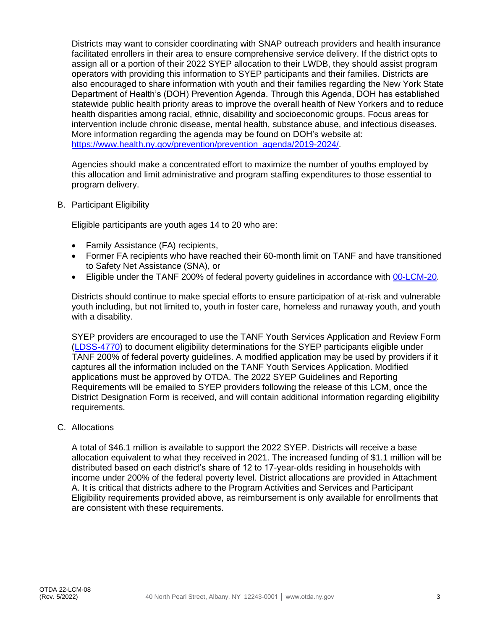Districts may want to consider coordinating with SNAP outreach providers and health insurance facilitated enrollers in their area to ensure comprehensive service delivery. If the district opts to assign all or a portion of their 2022 SYEP allocation to their LWDB, they should assist program operators with providing this information to SYEP participants and their families. Districts are also encouraged to share information with youth and their families regarding the New York State Department of Health's (DOH) Prevention Agenda. Through this Agenda, DOH has established statewide public health priority areas to improve the overall health of New Yorkers and to reduce health disparities among racial, ethnic, disability and socioeconomic groups. Focus areas for intervention include chronic disease, mental health, substance abuse, and infectious diseases. More information regarding the agenda may be found on DOH's website at: [https://www.health.ny.gov/prevention/prevention\\_agenda/2019-2024/.](https://www.health.ny.gov/prevention/prevention_agenda/2019-2024/)

Agencies should make a concentrated effort to maximize the number of youths employed by this allocation and limit administrative and program staffing expenditures to those essential to program delivery.

B. Participant Eligibility

Eligible participants are youth ages 14 to 20 who are:

- Family Assistance (FA) recipients,
- Former FA recipients who have reached their 60-month limit on TANF and have transitioned to Safety Net Assistance (SNA), or
- Eligible under the TANF 200% of federal poverty guidelines in accordance with [00-LCM-20.](http://otda.ny.gov/policy/directives/2000/LCM/00_LCM-20.pdf)

Districts should continue to make special efforts to ensure participation of at-risk and vulnerable youth including, but not limited to, youth in foster care, homeless and runaway youth, and youth with a disability.

SYEP providers are encouraged to use the TANF Youth Services Application and Review Form [\(LDSS-4770\)](http://otda.state.nyenet/ldss_eforms/eforms/4770.pdf) to document eligibility determinations for the SYEP participants eligible under TANF 200% of federal poverty guidelines. A modified application may be used by providers if it captures all the information included on the TANF Youth Services Application. Modified applications must be approved by OTDA. The 2022 SYEP Guidelines and Reporting Requirements will be emailed to SYEP providers following the release of this LCM, once the District Designation Form is received, and will contain additional information regarding eligibility requirements.

C. Allocations

A total of \$46.1 million is available to support the 2022 SYEP. Districts will receive a base allocation equivalent to what they received in 2021. The increased funding of \$1.1 million will be distributed based on each district's share of 12 to 17-year-olds residing in households with income under 200% of the federal poverty level. District allocations are provided in Attachment A. It is critical that districts adhere to the Program Activities and Services and Participant Eligibility requirements provided above, as reimbursement is only available for enrollments that are consistent with these requirements.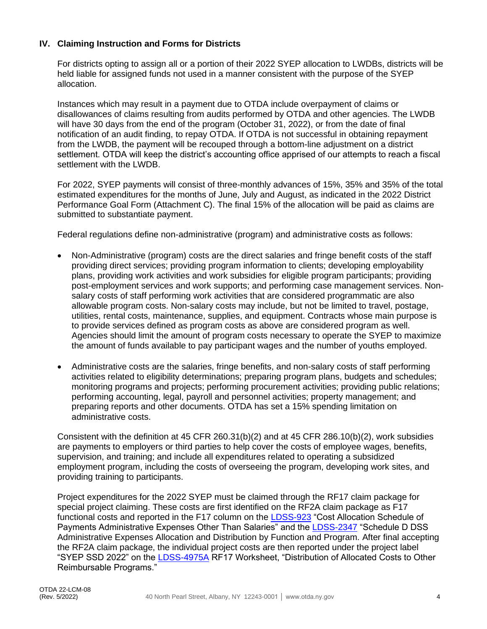#### **IV. Claiming Instruction and Forms for Districts**

For districts opting to assign all or a portion of their 2022 SYEP allocation to LWDBs, districts will be held liable for assigned funds not used in a manner consistent with the purpose of the SYEP allocation.

Instances which may result in a payment due to OTDA include overpayment of claims or disallowances of claims resulting from audits performed by OTDA and other agencies. The LWDB will have 30 days from the end of the program (October 31, 2022), or from the date of final notification of an audit finding, to repay OTDA. If OTDA is not successful in obtaining repayment from the LWDB, the payment will be recouped through a bottom-line adjustment on a district settlement. OTDA will keep the district's accounting office apprised of our attempts to reach a fiscal settlement with the LWDB.

For 2022, SYEP payments will consist of three-monthly advances of 15%, 35% and 35% of the total estimated expenditures for the months of June, July and August, as indicated in the 2022 District Performance Goal Form (Attachment C). The final 15% of the allocation will be paid as claims are submitted to substantiate payment.

Federal regulations define non-administrative (program) and administrative costs as follows:

- Non-Administrative (program) costs are the direct salaries and fringe benefit costs of the staff providing direct services; providing program information to clients; developing employability plans, providing work activities and work subsidies for eligible program participants; providing post-employment services and work supports; and performing case management services. Nonsalary costs of staff performing work activities that are considered programmatic are also allowable program costs. Non-salary costs may include, but not be limited to travel, postage, utilities, rental costs, maintenance, supplies, and equipment. Contracts whose main purpose is to provide services defined as program costs as above are considered program as well. Agencies should limit the amount of program costs necessary to operate the SYEP to maximize the amount of funds available to pay participant wages and the number of youths employed.
- Administrative costs are the salaries, fringe benefits, and non-salary costs of staff performing activities related to eligibility determinations; preparing program plans, budgets and schedules; monitoring programs and projects; performing procurement activities; providing public relations; performing accounting, legal, payroll and personnel activities; property management; and preparing reports and other documents. OTDA has set a 15% spending limitation on administrative costs.

Consistent with the definition at 45 CFR 260.31(b)(2) and at 45 CFR 286.10(b)(2), work subsidies are payments to employers or third parties to help cover the costs of employee wages, benefits, supervision, and training; and include all expenditures related to operating a subsidized employment program, including the costs of overseeing the program, developing work sites, and providing training to participants.

Project expenditures for the 2022 SYEP must be claimed through the RF17 claim package for special project claiming. These costs are first identified on the RF2A claim package as F17 functional costs and reported in the F17 column on the [LDSS-923](http://otda.state.nyenet/ldss_eforms/eforms/0923.pdf) "Cost Allocation Schedule of Payments Administrative Expenses Other Than Salaries" and the [LDSS-2347](http://otda.state.nyenet/ldss_eforms/eforms/2347.pdf) "Schedule D DSS Administrative Expenses Allocation and Distribution by Function and Program. After final accepting the RF2A claim package, the individual project costs are then reported under the project label "SYEP SSD 2022" on the [LDSS-4975A](http://otda.state.nyenet/ldss_eforms/eforms/4975A.pdf) RF17 Worksheet, "Distribution of Allocated Costs to Other Reimbursable Programs."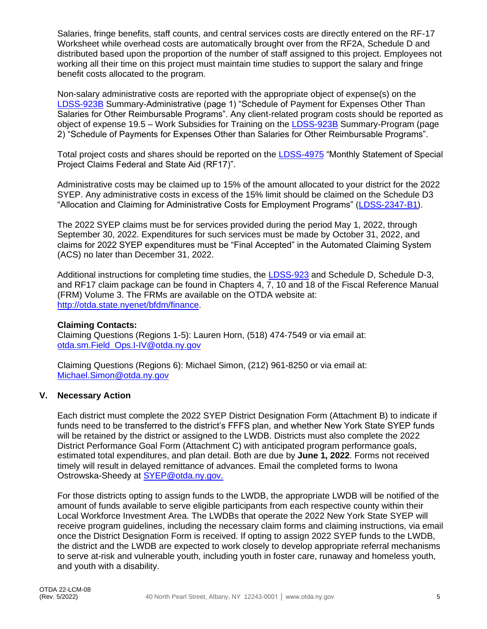Salaries, fringe benefits, staff counts, and central services costs are directly entered on the RF-17 Worksheet while overhead costs are automatically brought over from the RF2A, Schedule D and distributed based upon the proportion of the number of staff assigned to this project. Employees not working all their time on this project must maintain time studies to support the salary and fringe benefit costs allocated to the program.

Non-salary administrative costs are reported with the appropriate object of expense(s) on the [LDSS-923B](http://otda.state.nyenet/ldss_eforms/eforms/0923B.pdf) Summary-Administrative (page 1) "Schedule of Payment for Expenses Other Than Salaries for Other Reimbursable Programs". Any client-related program costs should be reported as object of expense 19.5 – Work Subsidies for Training on the [LDSS-923B](http://otda.state.nyenet/ldss_eforms/eforms/0923B.pdf) Summary-Program (page 2) "Schedule of Payments for Expenses Other than Salaries for Other Reimbursable Programs".

Total project costs and shares should be reported on the [LDSS-4975](http://otda.state.nyenet/ldss_eforms/eforms/4975.pdf) "Monthly Statement of Special Project Claims Federal and State Aid (RF17)".

Administrative costs may be claimed up to 15% of the amount allocated to your district for the 2022 SYEP. Any administrative costs in excess of the 15% limit should be claimed on the Schedule D3 "Allocation and Claiming for Administrative Costs for Employment Programs" [\(LDSS-2347-B1\)](http://otda.state.nyenet/ldss_eforms/eforms/2347B1.pdf).

The 2022 SYEP claims must be for services provided during the period May 1, 2022, through September 30, 2022. Expenditures for such services must be made by October 31, 2022, and claims for 2022 SYEP expenditures must be "Final Accepted" in the Automated Claiming System (ACS) no later than December 31, 2022.

Additional instructions for completing time studies, the [LDSS-923](http://otda.state.nyenet/ldss_eforms/eforms/0923.pdf) and Schedule D, Schedule D-3, and RF17 claim package can be found in Chapters 4, 7, 10 and 18 of the Fiscal Reference Manual (FRM) Volume 3. The FRMs are available on the OTDA website at: [http://otda.state.nyenet/bfdm/finance.](https://gcc02.safelinks.protection.outlook.com/?url=http%3A%2F%2Fotda.state.nyenet%2Fbfdm%2Ffinance&data=05%7C01%7CIwona.Ostrowska-Sheedy%40otda.ny.gov%7C831bb23a688a41b4312508da22c0c1ad%7Cf46cb8ea79004d108ceb80e8c1c81ee7%7C0%7C0%7C637860508526777388%7CUnknown%7CTWFpbGZsb3d8eyJWIjoiMC4wLjAwMDAiLCJQIjoiV2luMzIiLCJBTiI6Ik1haWwiLCJXVCI6Mn0%3D%7C3000%7C%7C%7C&sdata=%2Fs9ajaW46PKHUHsZYn0ER0qkq%2B12w1mCXkg5lQFjNRM%3D&reserved=0)

#### **Claiming Contacts:**

Claiming Questions (Regions 1-5): Lauren Horn, (518) 474-7549 or via email at: [otda.sm.Field\\_Ops.I-IV@otda.ny.gov](mailto:otda.sm.Field_Ops.I-IV@otda.ny.gov)

Claiming Questions (Regions 6): Michael Simon, (212) 961-8250 or via email at: [Michael.Simon@otda.ny.gov](mailto:Michael.Simon@otda.ny.gov)

#### **V. Necessary Action**

Each district must complete the 2022 SYEP District Designation Form (Attachment B) to indicate if funds need to be transferred to the district's FFFS plan, and whether New York State SYEP funds will be retained by the district or assigned to the LWDB. Districts must also complete the 2022 District Performance Goal Form (Attachment C) with anticipated program performance goals, estimated total expenditures, and plan detail. Both are due by **June 1, 2022**. Forms not received timely will result in delayed remittance of advances. Email the completed forms to Iwona Ostrowska-Sheedy at SYEP@otda.ny.gov.

For those districts opting to assign funds to the LWDB, the appropriate LWDB will be notified of the amount of funds available to serve eligible participants from each respective county within their Local Workforce Investment Area. The LWDBs that operate the 2022 New York State SYEP will receive program guidelines, including the necessary claim forms and claiming instructions, via email once the District Designation Form is received. If opting to assign 2022 SYEP funds to the LWDB, the district and the LWDB are expected to work closely to develop appropriate referral mechanisms to serve at-risk and vulnerable youth, including youth in foster care, runaway and homeless youth, and youth with a disability.